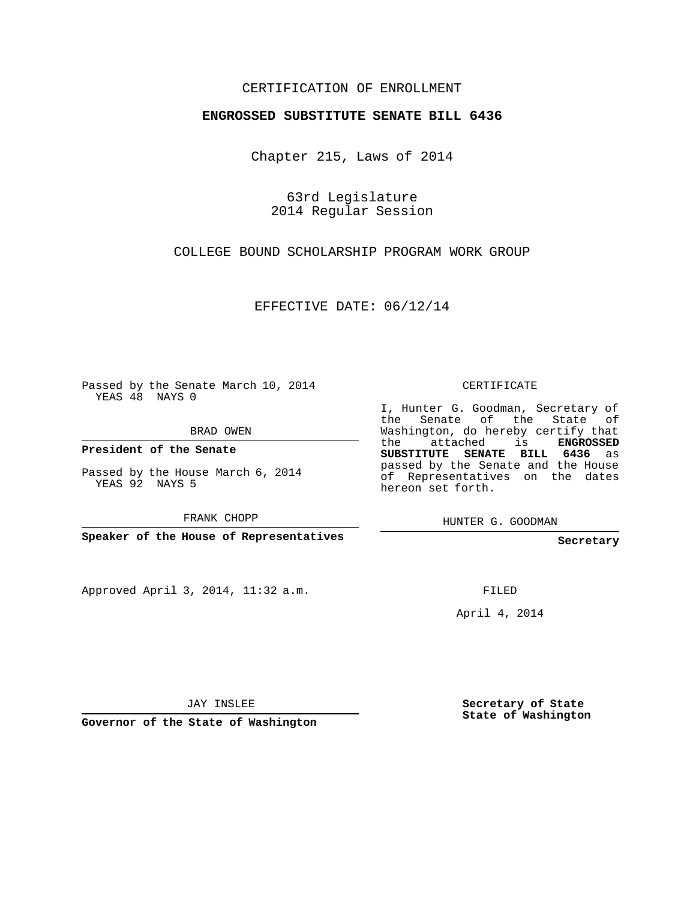## CERTIFICATION OF ENROLLMENT

## **ENGROSSED SUBSTITUTE SENATE BILL 6436**

Chapter 215, Laws of 2014

63rd Legislature 2014 Regular Session

COLLEGE BOUND SCHOLARSHIP PROGRAM WORK GROUP

EFFECTIVE DATE: 06/12/14

Passed by the Senate March 10, 2014 YEAS 48 NAYS 0

BRAD OWEN

**President of the Senate**

Passed by the House March 6, 2014 YEAS 92 NAYS 5

FRANK CHOPP

**Speaker of the House of Representatives**

Approved April 3, 2014, 11:32 a.m.

CERTIFICATE

I, Hunter G. Goodman, Secretary of the Senate of the State of Washington, do hereby certify that the attached is **ENGROSSED SUBSTITUTE SENATE BILL 6436** as passed by the Senate and the House of Representatives on the dates hereon set forth.

HUNTER G. GOODMAN

**Secretary**

FILED

April 4, 2014

JAY INSLEE

**Governor of the State of Washington**

**Secretary of State State of Washington**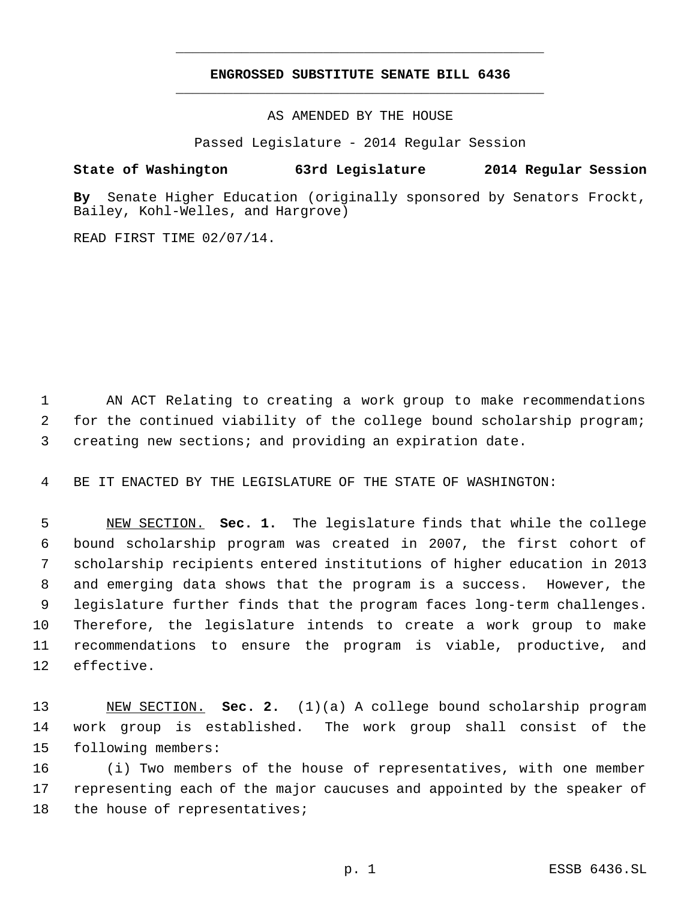## **ENGROSSED SUBSTITUTE SENATE BILL 6436** \_\_\_\_\_\_\_\_\_\_\_\_\_\_\_\_\_\_\_\_\_\_\_\_\_\_\_\_\_\_\_\_\_\_\_\_\_\_\_\_\_\_\_\_\_

\_\_\_\_\_\_\_\_\_\_\_\_\_\_\_\_\_\_\_\_\_\_\_\_\_\_\_\_\_\_\_\_\_\_\_\_\_\_\_\_\_\_\_\_\_

AS AMENDED BY THE HOUSE

Passed Legislature - 2014 Regular Session

## **State of Washington 63rd Legislature 2014 Regular Session**

**By** Senate Higher Education (originally sponsored by Senators Frockt, Bailey, Kohl-Welles, and Hargrove)

READ FIRST TIME 02/07/14.

 AN ACT Relating to creating a work group to make recommendations for the continued viability of the college bound scholarship program; creating new sections; and providing an expiration date.

BE IT ENACTED BY THE LEGISLATURE OF THE STATE OF WASHINGTON:

 NEW SECTION. **Sec. 1.** The legislature finds that while the college bound scholarship program was created in 2007, the first cohort of scholarship recipients entered institutions of higher education in 2013 and emerging data shows that the program is a success. However, the legislature further finds that the program faces long-term challenges. Therefore, the legislature intends to create a work group to make recommendations to ensure the program is viable, productive, and effective.

 NEW SECTION. **Sec. 2.** (1)(a) A college bound scholarship program work group is established. The work group shall consist of the following members:

 (i) Two members of the house of representatives, with one member representing each of the major caucuses and appointed by the speaker of 18 the house of representatives;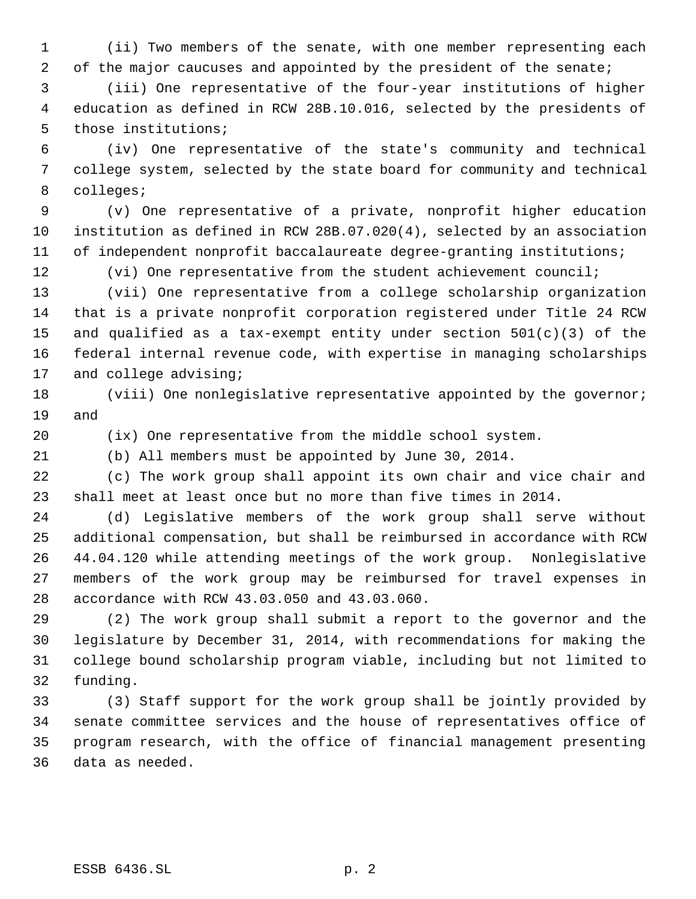(ii) Two members of the senate, with one member representing each 2 of the major caucuses and appointed by the president of the senate;

 (iii) One representative of the four-year institutions of higher education as defined in RCW 28B.10.016, selected by the presidents of those institutions;

 (iv) One representative of the state's community and technical college system, selected by the state board for community and technical colleges;

 (v) One representative of a private, nonprofit higher education institution as defined in RCW 28B.07.020(4), selected by an association of independent nonprofit baccalaureate degree-granting institutions;

12 (vi) One representative from the student achievement council;

 (vii) One representative from a college scholarship organization that is a private nonprofit corporation registered under Title 24 RCW 15 and qualified as a tax-exempt entity under section  $501(c)(3)$  of the federal internal revenue code, with expertise in managing scholarships and college advising;

 (viii) One nonlegislative representative appointed by the governor; and

(ix) One representative from the middle school system.

(b) All members must be appointed by June 30, 2014.

 (c) The work group shall appoint its own chair and vice chair and shall meet at least once but no more than five times in 2014.

 (d) Legislative members of the work group shall serve without additional compensation, but shall be reimbursed in accordance with RCW 44.04.120 while attending meetings of the work group. Nonlegislative members of the work group may be reimbursed for travel expenses in accordance with RCW 43.03.050 and 43.03.060.

 (2) The work group shall submit a report to the governor and the legislature by December 31, 2014, with recommendations for making the college bound scholarship program viable, including but not limited to funding.

 (3) Staff support for the work group shall be jointly provided by senate committee services and the house of representatives office of program research, with the office of financial management presenting data as needed.